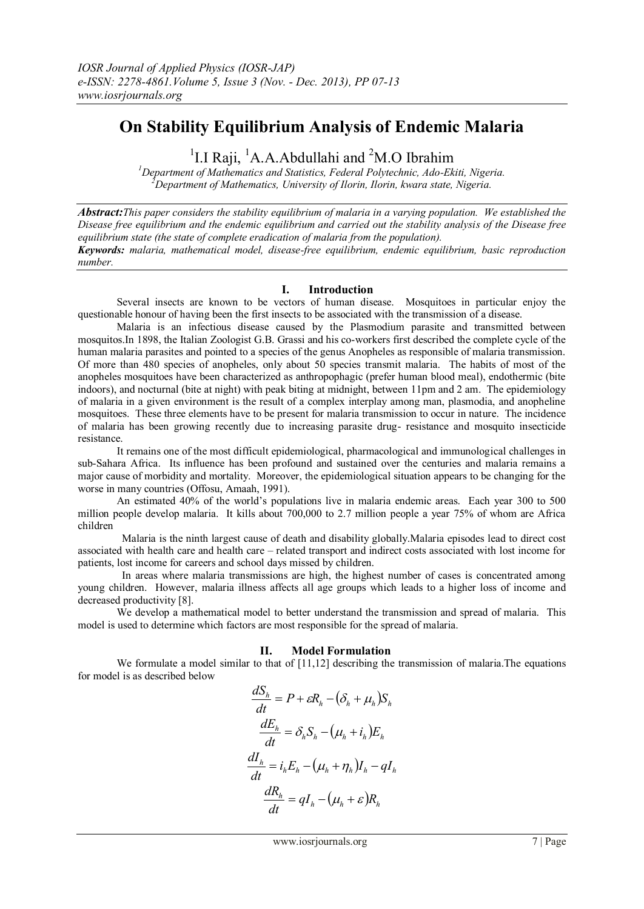# **On Stability Equilibrium Analysis of Endemic Malaria**

<sup>1</sup> I.I Raji, <sup>1</sup> A.A.Abdullahi and <sup>2</sup> M.O Ibrahim<sup>1</sup> Department of Mathematics and Statistics, Federal Polytechnic, Ado-Ekiti, Nigeria.

*<sup>2</sup>Department of Mathematics, University of Ilorin, Ilorin, kwara state, Nigeria.*

*Abstract:This paper considers the stability equilibrium of malaria in a varying population. We established the Disease free equilibrium and the endemic equilibrium and carried out the stability analysis of the Disease free equilibrium state (the state of complete eradication of malaria from the population). Keywords: malaria, mathematical model, disease-free equilibrium, endemic equilibrium, basic reproduction number.*

# **I. Introduction**

Several insects are known to be vectors of human disease. Mosquitoes in particular enjoy the questionable honour of having been the first insects to be associated with the transmission of a disease.

Malaria is an infectious disease caused by the Plasmodium parasite and transmitted between mosquitos.In 1898, the Italian Zoologist G.B. Grassi and his co-workers first described the complete cycle of the human malaria parasites and pointed to a species of the genus Anopheles as responsible of malaria transmission. Of more than 480 species of anopheles, only about 50 species transmit malaria. The habits of most of the anopheles mosquitoes have been characterized as anthropophagic (prefer human blood meal), endothermic (bite indoors), and nocturnal (bite at night) with peak biting at midnight, between 11pm and 2 am. The epidemiology of malaria in a given environment is the result of a complex interplay among man, plasmodia, and anopheline mosquitoes. These three elements have to be present for malaria transmission to occur in nature. The incidence of malaria has been growing recently due to increasing parasite drug- resistance and mosquito insecticide resistance.

It remains one of the most difficult epidemiological, pharmacological and immunological challenges in sub-Sahara Africa. Its influence has been profound and sustained over the centuries and malaria remains a major cause of morbidity and mortality. Moreover, the epidemiological situation appears to be changing for the worse in many countries (Offosu, Amaah, 1991).

An estimated 40% of the world's populations live in malaria endemic areas. Each year 300 to 500 million people develop malaria. It kills about 700,000 to 2.7 million people a year 75% of whom are Africa children

 Malaria is the ninth largest cause of death and disability globally.Malaria episodes lead to direct cost associated with health care and health care – related transport and indirect costs associated with lost income for patients, lost income for careers and school days missed by children.

 In areas where malaria transmissions are high, the highest number of cases is concentrated among young children. However, malaria illness affects all age groups which leads to a higher loss of income and decreased productivity [8].

We develop a mathematical model to better understand the transmission and spread of malaria. This model is used to determine which factors are most responsible for the spread of malaria.

# **II. Model Formulation**

We formulate a model similar to that of  $[11,12]$  describing the transmission of malaria. The equations for model is as described below

$$
\frac{dS_h}{dt} = P + \varepsilon R_h - (\delta_h + \mu_h) S_h
$$

$$
\frac{dE_h}{dt} = \delta_h S_h - (\mu_h + i_h) E_h
$$

$$
\frac{dI_h}{dt} = i_h E_h - (\mu_h + \eta_h) I_h - qI_h
$$

$$
\frac{dR_h}{dt} = qI_h - (\mu_h + \varepsilon) R_h
$$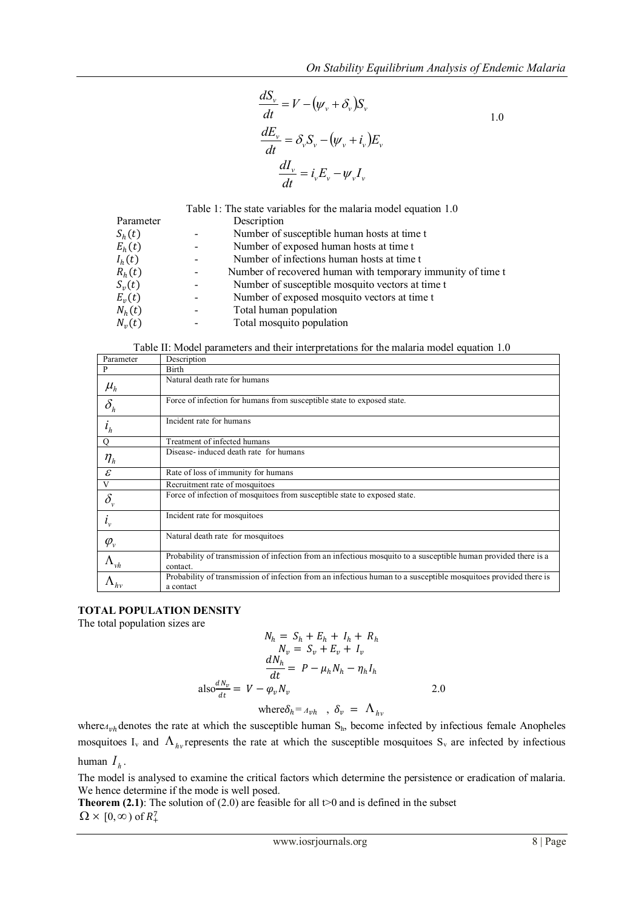1.0

$$
\frac{dS_v}{dt} = V - (\psi_v + \delta_v)S_v
$$
  

$$
\frac{dE_v}{dt} = \delta_v S_v - (\psi_v + i_v)E_v
$$
  

$$
\frac{dI_v}{dt} = i_v E_v - \psi_v I_v
$$

|            | Table 1: The state variables for the malaria model equation 1.0 |
|------------|-----------------------------------------------------------------|
| Parameter  | Description                                                     |
| $S_h(t)$   | Number of susceptible human hosts at time t                     |
| $E_h(t)$   | Number of exposed human hosts at time t                         |
| $I_h(t)$   | Number of infections human hosts at time t                      |
| $R_h(t)$   | Number of recovered human with temporary immunity of time t     |
| $S_v(t)$   | Number of susceptible mosquito vectors at time t                |
| $E_{v}(t)$ | Number of exposed mosquito vectors at time t                    |
| $N_h(t)$   | Total human population                                          |
| $N_{v}(t)$ | Total mosquito population                                       |

Table II: Model parameters and their interpretations for the malaria model equation 1.0

| Parameter                                                   | Description                                                                                                                  |
|-------------------------------------------------------------|------------------------------------------------------------------------------------------------------------------------------|
|                                                             | <b>Birth</b>                                                                                                                 |
| $\mu_{h}$                                                   | Natural death rate for humans                                                                                                |
| $\delta_h$                                                  | Force of infection for humans from susceptible state to exposed state.                                                       |
| $i_h$                                                       | Incident rate for humans                                                                                                     |
|                                                             | Treatment of infected humans                                                                                                 |
| $\eta_{\scriptscriptstyle h}$                               | Disease-induced death rate for humans                                                                                        |
| $\varepsilon$                                               | Rate of loss of immunity for humans                                                                                          |
| V                                                           | Recruitment rate of mosquitoes                                                                                               |
| $\delta_{\rm v}$                                            | Force of infection of mosquitoes from susceptible state to exposed state.                                                    |
| $l_{v}$                                                     | Incident rate for mosquitoes                                                                                                 |
| $\varphi_{v}$                                               | Natural death rate for mosquitoes                                                                                            |
| $\Lambda_{{\scriptscriptstyle }}{}_{\!\scriptscriptstyle }$ | Probability of transmission of infection from an infectious mosquito to a susceptible human provided there is a<br>contact.  |
| $\Delta_{hv}$                                               | Probability of transmission of infection from an infectious human to a susceptible mosquitoes provided there is<br>a contact |

## **TOTAL POPULATION DENSITY**

The total population sizes are

$$
N_h = S_h + E_h + I_h + R_h
$$
  
\n
$$
N_v = S_v + E_v + I_v
$$
  
\n
$$
\frac{dN_h}{dt} = P - \mu_h N_h - \eta_h I_h
$$
  
\n
$$
also \frac{dN_v}{dt} = V - \varphi_v N_v
$$
  
\n
$$
where \delta_h = A_{vh}, \delta_v = \Lambda_{hv}
$$

where<sub> $\Lambda_{vh}$ </sub> denotes the rate at which the susceptible human S<sub>h</sub>, become infected by infectious female Anopheles mosquitoes  $I_v$  and  $\Lambda_{hv}$  represents the rate at which the susceptible mosquitoes  $S_v$  are infected by infectious human  $I_h$ .

The model is analysed to examine the critical factors which determine the persistence or eradication of malaria. We hence determine if the mode is well posed.

**Theorem (2.1)**: The solution of (2.0) are feasible for all  $t>0$  and is defined in the subset  $\Omega \times [0, \infty)$  of  $R_+^7$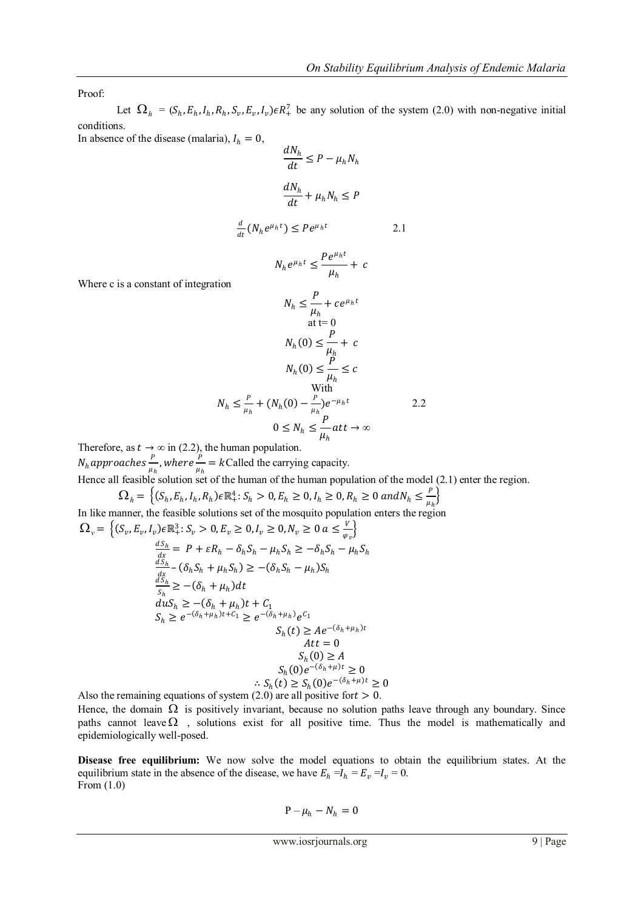Proof:

Let  $\Omega_h = (S_h, E_h, I_h, R_h, S_v, E_v, I_v) \in R_+^7$  be any solution of the system (2.0) with non-negative initial conditions.

In absence of the disease (malaria),  $I_h = 0$ ,

$$
\frac{dN_h}{dt} \le P - \mu_h N_h
$$

$$
\frac{dN_h}{dt} + \mu_h N_h \le P
$$

$$
\frac{d}{dt}(N_h e^{\mu_h t}) \le P e^{\mu_h t} \tag{2.1}
$$

$$
N_h e^{\mu_h t} \leq \frac{Pe^{\mu_h t}}{\mu_h} + c
$$

Where c is a constant of integration

$$
N_h \leq \frac{P}{\mu_h} + ce^{\mu_h t}
$$
  
at t= 0  

$$
N_h(0) \leq \frac{P}{\mu_h} + c
$$

$$
N_h(0) \leq \frac{P}{\mu_h} \leq c
$$
With  

$$
N_h \leq \frac{P}{\mu_h} + (N_h(0) - \frac{P}{\mu_h})e^{-\mu_h t}
$$
2.2  

$$
0 \leq N_h \leq \frac{P}{\mu_h} att \to \infty
$$

Therefore, as  $t \to \infty$  in (2.2), the human population.

 $N_h$ approaches $\frac{P}{m}$  $\frac{P}{\mu_h}$ , where  $\frac{P}{\mu_h}$  $\frac{F}{\mu_h}$  = kCalled the carrying capacity.

Hence all feasible solution set of the human of the human population of the model (2.1) enter the region.

$$
\Omega_h = \left\{ (S_h, E_h, I_h, R_h) \in \mathbb{R}_+^4 : S_h > 0, E_h \ge 0, I_h \ge 0, R_h \ge 0 \text{ and } N_h \le \frac{P}{\mu_h} \right\}
$$

In like manner, the feasible solutions set of the mosquito population enters the region  $\Omega_{v} = \left\{ (S_{v}, E_{v}, I_{v}) \in \mathbb{R}_{+}^{3} : S_{v} > 0, E_{v} \ge 0, I_{v} \ge 0, N_{v} \ge 0 \text{ a } \le \frac{V}{\omega} \right\}$ 

$$
h_n I_v e R_1^3: S_v > 0, E_v \ge 0, I_v \ge 0, N_v \ge 0 \text{ a } \le \frac{v}{\varphi_v} \}
$$
  
\n
$$
\frac{dS_h}{dx} = P + \varepsilon R_h - \delta_h S_h - \mu_h S_h \ge -\delta_h S_h - \mu_h S_h
$$
  
\n
$$
\frac{dS_h}{dx} - (\delta_h S_h + \mu_h S_h) \ge -(\delta_h S_h - \mu_h) S_h
$$
  
\n
$$
\frac{dS_h}{S_h} \ge -(\delta_h + \mu_h) dt
$$
  
\n
$$
d\mu S_h \ge -(\delta_h + \mu_h) t + C_1
$$
  
\n
$$
S_h \ge e^{-(\delta_h + \mu_h)t + C_1} \ge e^{-(\delta_h + \mu_h)} e^{C_1}
$$
  
\n
$$
S_h(t) \ge A e^{-(\delta_h + \mu_h)t}
$$
  
\n
$$
A t t = 0
$$
  
\n
$$
S_h(0) \ge A
$$
  
\n
$$
S_h(0) e^{-(\delta_h + \mu)t} \ge 0
$$
  
\n
$$
\therefore S_h(t) \ge S_h(0) e^{-(\delta_h + \mu)t} \ge 0
$$

Also the remaining equations of system (2.0) are all positive for  $t > 0$ . Hence, the domain  $\Omega$  is positively invariant, because no solution paths leave through any boundary. Since paths cannot leave  $\Omega$ , solutions exist for all positive time. Thus the model is mathematically and epidemiologically well-posed.

**Disease free equilibrium:** We now solve the model equations to obtain the equilibrium states. At the equilibrium state in the absence of the disease, we have  $E_h = I_h = E_v = I_v = 0$ . From (1.0)

$$
P - \mu_h - N_h = 0
$$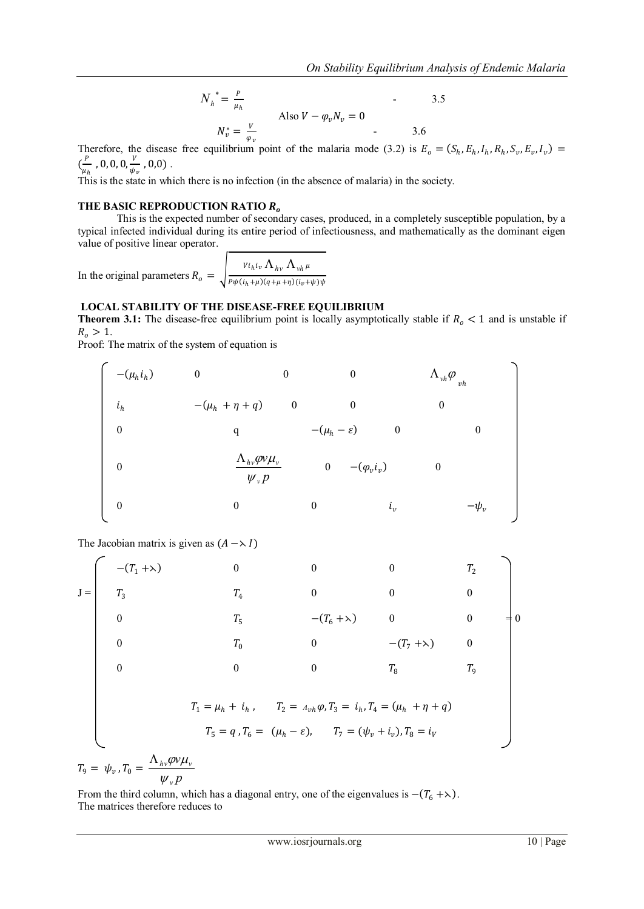$$
N_h^* = \frac{P}{\mu_h}
$$
  
Also  $V - \varphi_v N_v = 0$   

$$
N_v^* = \frac{V}{\varphi_v}
$$

Therefore, the disease free equilibrium point of the malaria mode (3.2) is  $E_o = (S_h, E_h, I_h, R_h, S_v, E_v, I_v)$  $\left(\frac{P}{\cdot}\right)$  $\frac{P}{\mu_h}$  , 0, 0, 0,  $\frac{V}{\psi_h}$  $\frac{v}{\psi_v}$  ,  $0,0)$  .

This is the state in which there is no infection (in the absence of malaria) in the society.

# **THE BASIC REPRODUCTION RATIO**

This is the expected number of secondary cases, produced, in a completely susceptible population, by a typical infected individual during its entire period of infectiousness, and mathematically as the dominant eigen value of positive linear operator.

In the original parameters  $R_o = \int_{P_0 h(i_x + u)(a + u + v)(i_x + v)}^{V_i h_i u} \Delta_{hh} \Delta_{vh} \mu$  $P\psi(i_h+\mu)(q+\mu+\eta)(i_v+\psi)\psi$ 

## **LOCAL STABILITY OF THE DISEASE-FREE EQUILIBRIUM**

**Theorem 3.1:** The disease-free equilibrium point is locally asymptotically stable if  $R_0 < 1$  and is unstable if  $R_o > 1$ .

Proof: The matrix of the system of equation is

$$
-(\mu_h i_h) \qquad 0 \qquad 0 \qquad 0 \qquad \Lambda_{vh} \varphi_{\nu h}
$$
  
\n
$$
i_h \qquad -(\mu_h + \eta + q) \qquad 0 \qquad 0 \qquad 0
$$
  
\n0 \qquad q \qquad -(\mu\_h - \varepsilon) \qquad 0 \qquad 0  
\n0 \qquad \frac{\Lambda\_{hv} \varphi v \mu\_v}{\psi\_v p} \qquad 0 \qquad -(\varphi\_v i\_v) \qquad 0  
\n0 \qquad 0 \qquad i\_v \qquad -\psi\_v

The Jacobian matrix is given as  $(A \rightarrow I)$ 

$$
J = \begin{bmatrix}\n-(T_1 + \lambda) & 0 & 0 & 0 & T_2 \\
T_3 & T_4 & 0 & 0 & 0 \\
0 & T_5 & -(T_6 + \lambda) & 0 & 0 \\
0 & T_0 & 0 & -(T_7 + \lambda) & 0 \\
0 & 0 & 0 & T_8 & T_9\n\end{bmatrix}
$$
\n
$$
T_1 = \mu_h + i_h, \quad T_2 = A_{vh}\varphi, T_3 = i_h, T_4 = (\mu_h + \eta + q)
$$
\n
$$
T_5 = q, T_6 = (\mu_h - \varepsilon), \quad T_7 = (\psi_v + i_v), T_8 = i_V
$$

 $T_9 = \psi_v$ ,  $T_0 = \frac{1 - \mu_v r^{-1}}{\psi_v p}$ *v v*  $h_{\rm}\Psi_{\rm} \Psi_{\rm} \Psi_{\rm} \Psi_{\rm} \Psi_{\rm}$  $\psi$  $\Lambda_{hv} \varphi v \mu$ 

From the third column, which has a diagonal entry, one of the eigenvalues is  $-(T_6 + \lambda)$ . The matrices therefore reduces to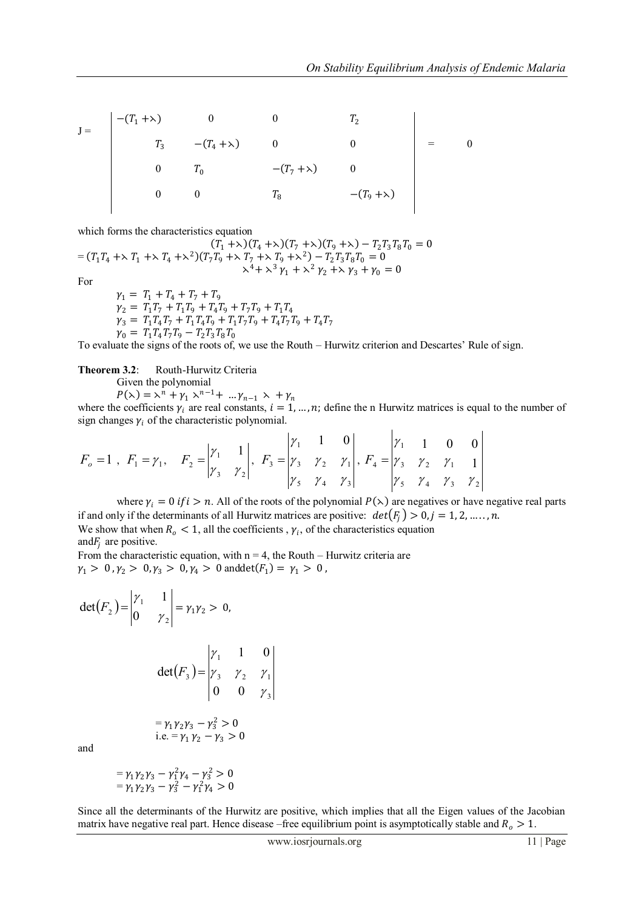$$
J = \begin{vmatrix}\n-(T_1 + \lambda) & 0 & 0 & T_2 \\
T_3 & -(T_4 + \lambda) & 0 & 0 \\
0 & T_0 & -(T_7 + \lambda) & 0 \\
0 & 0 & T_8 & -(T_9 + \lambda)\n\end{vmatrix} = 0
$$

which forms the characteristics equation

 $(T_1 + \lambda)(T_4 + \lambda)(T_7 + \lambda)(T_9 + \lambda) - T_2 T_3 T_8 T_0 = 0$  $=(T_1 T_4 + \lambda T_1 + \lambda T_4 + \lambda^2)(T_7 T_9 + \lambda T_7 + \lambda T_9 + \lambda^2) - T_2 T_3 T_8 T_0 = 0$  $x^4 + x^3 \gamma_1 + x^2 \gamma_2 + x \gamma_3 + \gamma_0 = 0$ 

For

 $\gamma_1 = T_1 + T_4 + T_7 + T_9$  $\gamma_2 = T_1 T_7 + T_1 T_9 + T_4 T_9 + T_7 T_9 + T_1 T_4$  $\gamma_3 = T_1 T_4 T_7 + T_1 T_4 T_9 + T_1 T_7 T_9 + T_4 T_7 T_9 + T_4 T_7$  $\gamma_0 = T_1 T_4 T_7 T_9 - T_2 T_3 T_8 T_0$ 

To evaluate the signs of the roots of, we use the Routh – Hurwitz criterion and Descartes' Rule of sign.

**Theorem 3.2**: Routh-Hurwitz Criteria Given the polynomial

 $P(\lambda) = \lambda^{n} + \gamma_1 \lambda^{n-1} + \dots + \gamma_{n-1} \lambda + \gamma_n$ 

where the coefficients  $\gamma_i$  are real constants,  $i = 1, ..., n$ ; define the n Hurwitz matrices is equal to the number of sign changes  $\gamma_i$  of the characteristic polynomial.  $\mathbf{I}$ 

$$
F_o = 1 \, , \, F_1 = \gamma_1, \, F_2 = \begin{vmatrix} \gamma_1 & 1 \\ \gamma_3 & \gamma_2 \end{vmatrix}, \, F_3 = \begin{vmatrix} \gamma_1 & 1 & 0 \\ \gamma_3 & \gamma_2 & \gamma_1 \\ \gamma_5 & \gamma_4 & \gamma_3 \end{vmatrix}, \, F_4 = \begin{vmatrix} \gamma_1 & 1 & 0 & 0 \\ \gamma_3 & \gamma_2 & \gamma_1 & 1 \\ \gamma_5 & \gamma_4 & \gamma_3 & \gamma_2 \end{vmatrix}
$$

where  $\gamma_i = 0$  if  $i > n$ . All of the roots of the polynomial  $P(\lambda)$  are negatives or have negative real parts if and only if the determinants of all Hurwitz matrices are positive:  $det(F_i) > 0, j = 1, 2, ..., n$ . We show that when  $R_0 < 1$ , all the coefficients,  $\gamma_i$ , of the characteristics equation and  $F_i$  are positive.

From the characteristic equation, with  $n = 4$ , the Routh – Hurwitz criteria are  $\gamma_1 > 0$ ,  $\gamma_2 > 0$ ,  $\gamma_3 > 0$ ,  $\gamma_4 > 0$  and  $\det(F_1) = \gamma_1 > 0$ ,

$$
\det(F_2) = \begin{vmatrix} \gamma_1 & 1 \\ 0 & \gamma_2 \end{vmatrix} = \gamma_1 \gamma_2 > 0,
$$
  

$$
\det(F_3) = \begin{vmatrix} \gamma_1 & 1 & 0 \\ \gamma_3 & \gamma_2 & \gamma_1 \\ 0 & 0 & \gamma_3 \end{vmatrix}
$$
  
=  $\gamma_1 \gamma_2 \gamma_3 - \gamma_3^2 > 0$   
i.e. =  $\gamma_1 \gamma_2 - \gamma_3 > 0$ 

and

$$
= \gamma_1 \gamma_2 \gamma_3 - \gamma_1^2 \gamma_4 - \gamma_3^2 > 0
$$
  
=  $\gamma_1 \gamma_2 \gamma_3 - \gamma_3^2 - \gamma_1^2 \gamma_4 > 0$ 

Since all the determinants of the Hurwitz are positive, which implies that all the Eigen values of the Jacobian matrix have negative real part. Hence disease –free equilibrium point is asymptotically stable and  $R_o > 1$ .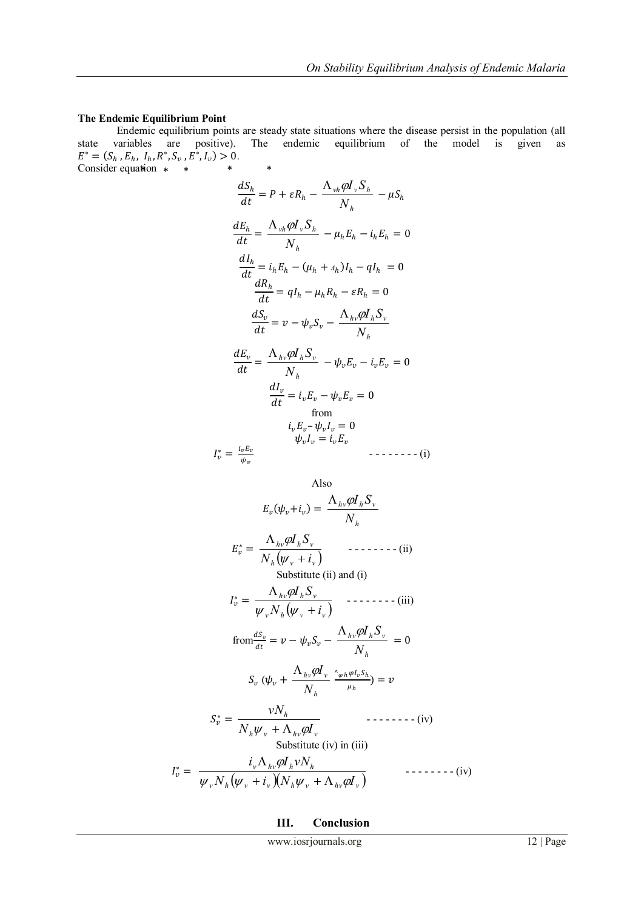### **The Endemic Equilibrium Point**

Endemic equilibrium points are steady state situations where the disease persist in the population (all state variables are positive). The endemic equilibrium of the model is given as  $E^* = (S_h, E_h, I_h, R^*, S_v, E^*, I_v) > 0.$ Consider equation  $*$   $*$   $*$   $*$ 

$$
\frac{dS_h}{dt} = P + \varepsilon R_h - \frac{\Lambda_{vh}\rho I_v S_h}{N_h} - \mu S_h
$$
  

$$
\frac{dE_h}{dt} = \frac{\Lambda_{vh}\rho I_v S_h}{N_h} - \mu_h E_h - i_h E_h = 0
$$
  

$$
\frac{dI_h}{dt} = i_h E_h - (\mu_h + A_h)I_h - qI_h = 0
$$
  

$$
\frac{dR_h}{dt} = qI_h - \mu_h R_h - \varepsilon R_h = 0
$$
  

$$
\frac{dS_v}{dt} = v - \psi_v S_v - \frac{\Lambda_{hv}\rho I_h S_v}{N_h}
$$
  

$$
\frac{dE_v}{dt} = \frac{\Lambda_{hv}\rho I_h S_v}{N_h} - \psi_v E_v - i_v E_v = 0
$$
  

$$
\frac{dI_v}{dt} = i_v E_v - \psi_v E_v = 0
$$
  
from  

$$
i_v E_v - \psi_v I_v = 0
$$
  

$$
I_v^* = \frac{i_v E_v}{\psi_v}
$$

Also  
\n
$$
E_v(\psi_v + i_v) = \frac{\Lambda_{hv}\varphi I_h S_v}{N_h}
$$
\n
$$
E_v^* = \frac{\Lambda_{hv}\varphi I_h S_v}{N_h(\psi_v + i_v)} \qquad \text{------(ii)}
$$
\nSubstitute (ii) and (i)\n
$$
I_v^* = \frac{\Lambda_{hv}\varphi I_h S_v}{\psi_v N_h(\psi_v + i_v)} \qquad \text{------(iii)}
$$
\n
$$
\text{from} \frac{dS_v}{dt} = v - \psi_v S_v - \frac{\Lambda_{hv}\varphi I_h S_v}{N_h} = 0
$$
\n
$$
S_v(\psi_v + \frac{\Lambda_{hv}\varphi I_v}{N_h} \frac{\gamma_v \varphi I_v S_h}{\mu_h}) = v
$$
\n
$$
S_v^* = \frac{vN_h}{N_h \psi_v + \Lambda_{hv}\varphi I_v} \qquad \text{------(iv)}
$$
\nSubstitute (iv) in (iii)\n
$$
\frac{i_v \Lambda_{hv}\varphi I_h v N_h}{\psi_v N_h(\psi_v + i_v)(N_h \psi_v + \Lambda_{hv}\varphi I_v)} \qquad \text{------(iv)}
$$

**III. Conclusion**

 $I_v^* =$